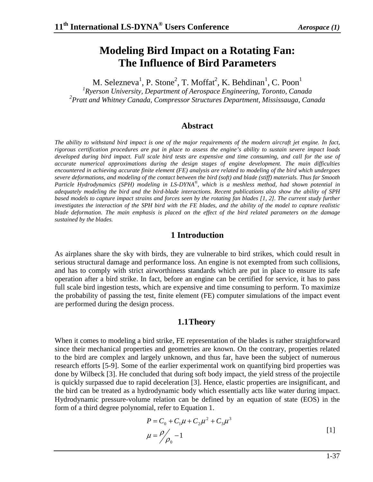# **Modeling Bird Impact on a Rotating Fan: The Influence of Bird Parameters**

M. Selezneva<sup>1</sup>, P. Stone<sup>2</sup>, T. Moffat<sup>2</sup>, K. Behdinan<sup>1</sup>, C. Poon<sup>1</sup>

*1 Ryerson University, Department of Aerospace Engineering, Toronto, Canada 2 Pratt and Whitney Canada, Compressor Structures Department, Mississauga, Canada* 

#### **Abstract**

*The ability to withstand bird impact is one of the major requirements of the modern aircraft jet engine. In fact, rigorous certification procedures are put in place to assess the engine's ability to sustain severe impact loads*  developed during bird impact. Full scale bird tests are expensive and time consuming, and call for the use of *accurate numerical approximations during the design stages of engine development. The main difficulties encountered in achieving accurate finite element (FE) analysis are related to modeling of the bird which undergoes severe deformations, and modeling of the contact between the bird (soft) and blade (stiff) materials. Thus far Smooth Particle Hydrodynamics (SPH) modeling in LS-DYNA®, which is a meshless method, had shown potential in adequately modeling the bird and the bird-blade interactions. Recent publications also show the ability of SPH based models to capture impact strains and forces seen by the rotating fan blades [1, 2]. The current study further investigates the interaction of the SPH bird with the FE blades, and the ability of the model to capture realistic blade deformation. The main emphasis is placed on the effect of the bird related parameters on the damage sustained by the blades.* 

#### **1 Introduction**

As airplanes share the sky with birds, they are vulnerable to bird strikes, which could result in serious structural damage and performance loss. An engine is not exempted from such collisions, and has to comply with strict airworthiness standards which are put in place to ensure its safe operation after a bird strike. In fact, before an engine can be certified for service, it has to pass full scale bird ingestion tests, which are expensive and time consuming to perform. To maximize the probability of passing the test, finite element (FE) computer simulations of the impact event are performed during the design process.

#### **1.1Theory**

When it comes to modeling a bird strike, FE representation of the blades is rather straightforward since their mechanical properties and geometries are known. On the contrary, properties related to the bird are complex and largely unknown, and thus far, have been the subject of numerous research efforts [5-9]. Some of the earlier experimental work on quantifying bird properties was done by Wilbeck [3]. He concluded that during soft body impact, the yield stress of the projectile is quickly surpassed due to rapid deceleration [3]. Hence, elastic properties are insignificant, and the bird can be treated as a hydrodynamic body which essentially acts like water during impact. Hydrodynamic pressure-volume relation can be defined by an equation of state (EOS) in the form of a third degree polynomial, refer to Equation 1.

$$
P = C_0 + C_1 \mu + C_2 \mu^2 + C_3 \mu^3
$$
  

$$
\mu = \frac{\rho}{\rho_0} - 1
$$
 [1]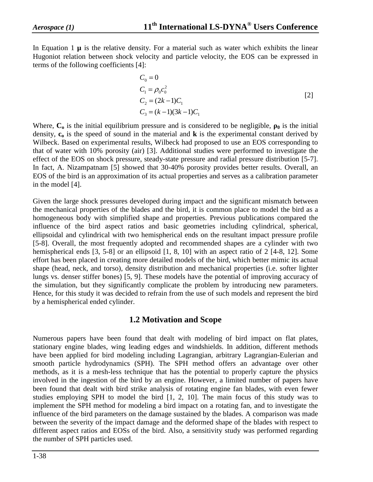In Equation 1 **µ** is the relative density. For a material such as water which exhibits the linear Hugoniot relation between shock velocity and particle velocity, the EOS can be expressed in terms of the following coefficients [4]:

$$
C_0 = 0
$$
  
\n
$$
C_1 = \rho_0 c_0^2
$$
  
\n
$$
C_2 = (2k - 1)C_1
$$
  
\n
$$
C_3 = (k - 1)(3k - 1)C_1
$$
\n[2]

Where,  $C_0$  is the initial equilibrium pressure and is considered to be negligible,  $\rho_0$  is the initial density,  $c_0$  is the speed of sound in the material and  $\bf{k}$  is the experimental constant derived by Wilbeck. Based on experimental results, Wilbeck had proposed to use an EOS corresponding to that of water with 10% porosity (air) [3]. Additional studies were performed to investigate the effect of the EOS on shock pressure, steady-state pressure and radial pressure distribution [5-7]. In fact, A. Nizampatnam [5] showed that 30-40% porosity provides better results. Overall, an EOS of the bird is an approximation of its actual properties and serves as a calibration parameter in the model [4].

Given the large shock pressures developed during impact and the significant mismatch between the mechanical properties of the blades and the bird, it is common place to model the bird as a homogeneous body with simplified shape and properties. Previous publications compared the influence of the bird aspect ratios and basic geometries including cylindrical, spherical, ellipsoidal and cylindrical with two hemispherical ends on the resultant impact pressure profile [5-8]. Overall, the most frequently adopted and recommended shapes are a cylinder with two hemispherical ends [3, 5-8] or an ellipsoid [1, 8, 10] with an aspect ratio of 2 [4-8, 12]. Some effort has been placed in creating more detailed models of the bird, which better mimic its actual shape (head, neck, and torso), density distribution and mechanical properties (i.e. softer lighter lungs vs. denser stiffer bones) [5, 9]. These models have the potential of improving accuracy of the simulation, but they significantly complicate the problem by introducing new parameters. Hence, for this study it was decided to refrain from the use of such models and represent the bird by a hemispherical ended cylinder.

#### **1.2 Motivation and Scope**

Numerous papers have been found that dealt with modeling of bird impact on flat plates, stationary engine blades, wing leading edges and windshields. In addition, different methods have been applied for bird modeling including Lagrangian, arbitrary Lagrangian-Eulerian and smooth particle hydrodynamics (SPH). The SPH method offers an advantage over other methods, as it is a mesh-less technique that has the potential to properly capture the physics involved in the ingestion of the bird by an engine. However, a limited number of papers have been found that dealt with bird strike analysis of rotating engine fan blades, with even fewer studies employing SPH to model the bird [1, 2, 10]. The main focus of this study was to implement the SPH method for modeling a bird impact on a rotating fan, and to investigate the influence of the bird parameters on the damage sustained by the blades. A comparison was made between the severity of the impact damage and the deformed shape of the blades with respect to different aspect ratios and EOSs of the bird. Also, a sensitivity study was performed regarding the number of SPH particles used.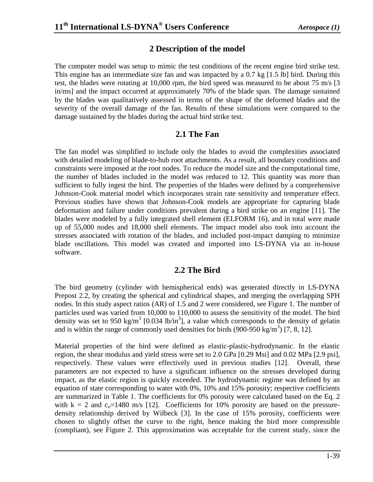#### **2 Description of the model**

The computer model was setup to mimic the test conditions of the recent engine bird strike test. This engine has an intermediate size fan and was impacted by a 0.7 kg [1.5 lb] bird. During this test, the blades were rotating at 10,000 rpm, the bird speed was measured to be about 75 m/s [3] in/ms] and the impact occurred at approximately 70% of the blade span. The damage sustained by the blades was qualitatively assessed in terms of the shape of the deformed blades and the severity of the overall damage of the fan. Results of these simulations were compared to the damage sustained by the blades during the actual bird strike test.

### **2.1 The Fan**

The fan model was simplified to include only the blades to avoid the complexities associated with detailed modeling of blade-to-hub root attachments. As a result, all boundary conditions and constraints were imposed at the root nodes. To reduce the model size and the computational time, the number of blades included in the model was reduced to 12. This quantity was more than sufficient to fully ingest the bird. The properties of the blades were defined by a comprehensive Johnson-Cook material model which incorporates strain rate sensitivity and temperature effect. Previous studies have shown that Johnson-Cook models are appropriate for capturing blade deformation and failure under conditions prevalent during a bird strike on an engine [11]. The blades were modeled by a fully integrated shell element (ELFORM 16), and in total were made up of 55,000 nodes and 18,000 shell elements. The impact model also took into account the stresses associated with rotation of the blades, and included post-impact damping to minimize blade oscillations. This model was created and imported into LS-DYNA via an in-house software.

# **2.2 The Bird**

The bird geometry (cylinder with hemispherical ends) was generated directly in LS-DYNA Prepost 2.2, by creating the spherical and cylindrical shapes, and merging the overlapping SPH nodes. In this study aspect ratios (AR) of 1.5 and 2 were considered, see Figure 1. The number of particles used was varied from 10,000 to 110,000 to assess the sensitivity of the model. The bird density was set to 950 kg/m<sup>3</sup> [0.034 lb/in<sup>3</sup>], a value which corresponds to the density of gelatin and is within the range of commonly used densities for birds  $(900-950 \text{ kg/m}^3)$  [7, 8, 12].

Material properties of the bird were defined as elastic-plastic-hydrodynamic. In the elastic region, the shear modulus and yield stress were set to 2.0 GPa [0.29 Msi] and 0.02 MPa [2.9 psi], respectively. These values were effectively used in previous studies [12]. Overall, these parameters are not expected to have a significant influence on the stresses developed during impact, as the elastic region is quickly exceeded. The hydrodynamic regime was defined by an equation of state corresponding to water with 0%, 10% and 15% porosity; respective coefficients are summarized in Table 1. The coefficients for 0% porosity were calculated based on the Eq. 2 with  $k = 2$  and  $c_0 = 1480$  m/s [12]. Coefficients for 10% porosity are based on the pressuredensity relationship derived by Wilbeck [3]. In the case of 15% porosity, coefficients were chosen to slightly offset the curve to the right, hence making the bird more compressible (compliant), see Figure 2. This approximation was acceptable for the current study, since the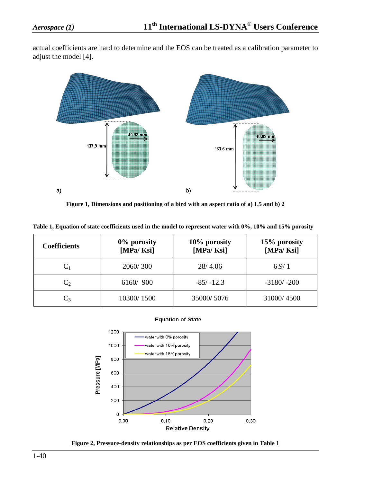actual coefficients are hard to determine and the EOS can be treated as a calibration parameter to adjust the model [4].



**Figure 1, Dimensions and positioning of a bird with an aspect ratio of a) 1.5 and b) 2**

|  | Table 1, Equation of state coefficients used in the model to represent water with 0%, 10% and 15% porosity |
|--|------------------------------------------------------------------------------------------------------------|
|  |                                                                                                            |

| <b>Coefficients</b> | 0% porosity<br>[MPa/Ksi] | 10% porosity<br>[MPa/Ksi] | 15% porosity<br>[MPa/Ksi] |
|---------------------|--------------------------|---------------------------|---------------------------|
| $C_1$               | 2060/300                 | 28/4.06                   | 6.9/1                     |
| C <sub>2</sub>      | 6160/900                 | $-85/ -12.3$              | $-3180/ -200$             |
| $C_3$               | 10300/1500               | 35000/5076                | 31000/4500                |





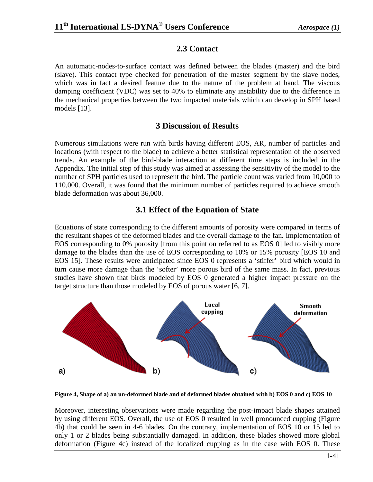#### **2.3 Contact**

An automatic-nodes-to-surface contact was defined between the blades (master) and the bird (slave). This contact type checked for penetration of the master segment by the slave nodes, which was in fact a desired feature due to the nature of the problem at hand. The viscous damping coefficient (VDC) was set to 40% to eliminate any instability due to the difference in the mechanical properties between the two impacted materials which can develop in SPH based models [13].

### **3 Discussion of Results**

Numerous simulations were run with birds having different EOS, AR, number of particles and locations (with respect to the blade) to achieve a better statistical representation of the observed trends. An example of the bird-blade interaction at different time steps is included in the Appendix. The initial step of this study was aimed at assessing the sensitivity of the model to the number of SPH particles used to represent the bird. The particle count was varied from 10,000 to 110,000. Overall, it was found that the minimum number of particles required to achieve smooth blade deformation was about 36,000.

# **3.1 Effect of the Equation of State**

Equations of state corresponding to the different amounts of porosity were compared in terms of the resultant shapes of the deformed blades and the overall damage to the fan. Implementation of EOS corresponding to 0% porosity [from this point on referred to as EOS 0] led to visibly more damage to the blades than the use of EOS corresponding to 10% or 15% porosity [EOS 10 and EOS 15]. These results were anticipated since EOS 0 represents a 'stiffer' bird which would in turn cause more damage than the 'softer' more porous bird of the same mass. In fact, previous studies have shown that birds modeled by EOS 0 generated a higher impact pressure on the target structure than those modeled by EOS of porous water [6, 7].



**Figure 4, Shape of a) an un-deformed blade and of deformed blades obtained with b) EOS 0 and c) EOS 10**

Moreover, interesting observations were made regarding the post-impact blade shapes attained by using different EOS. Overall, the use of EOS 0 resulted in well pronounced cupping (Figure 4b) that could be seen in 4-6 blades. On the contrary, implementation of EOS 10 or 15 led to only 1 or 2 blades being substantially damaged. In addition, these blades showed more global deformation (Figure 4c) instead of the localized cupping as in the case with EOS 0. These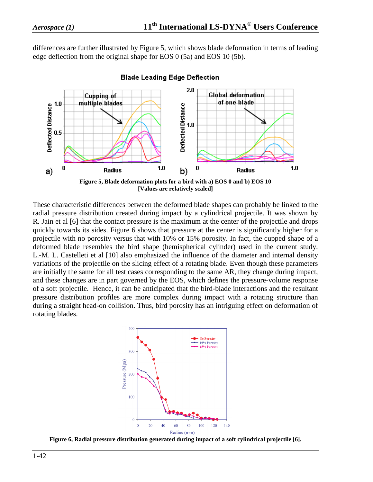differences are further illustrated by Figure 5, which shows blade deformation in terms of leading edge deflection from the original shape for EOS 0 (5a) and EOS 10 (5b).



**Blade Leading Edge Deflection** 

**[Values are relatively scaled]** 

These characteristic differences between the deformed blade shapes can probably be linked to the radial pressure distribution created during impact by a cylindrical projectile. It was shown by R. Jain et al [6] that the contact pressure is the maximum at the center of the projectile and drops quickly towards its sides. Figure 6 shows that pressure at the center is significantly higher for a projectile with no porosity versus that with 10% or 15% porosity. In fact, the cupped shape of a deformed blade resembles the bird shape (hemispherical cylinder) used in the current study. L.-M. L. Castelleti et al [10] also emphasized the influence of the diameter and internal density variations of the projectile on the slicing effect of a rotating blade. Even though these parameters are initially the same for all test cases corresponding to the same AR, they change during impact, and these changes are in part governed by the EOS, which defines the pressure-volume response of a soft projectile. Hence, it can be anticipated that the bird-blade interactions and the resultant pressure distribution profiles are more complex during impact with a rotating structure than during a straight head-on collision. Thus, bird porosity has an intriguing effect on deformation of rotating blades.



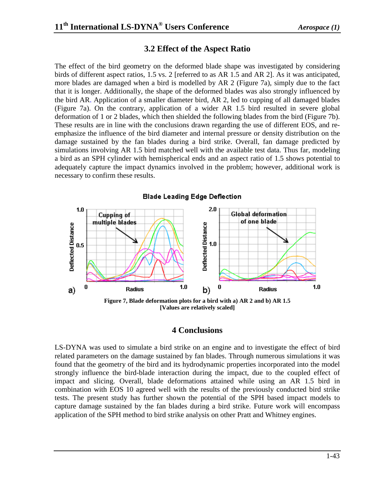# **3.2 Effect of the Aspect Ratio**

The effect of the bird geometry on the deformed blade shape was investigated by considering birds of different aspect ratios, 1.5 vs. 2 [referred to as AR 1.5 and AR 2]. As it was anticipated, more blades are damaged when a bird is modelled by AR 2 (Figure 7a), simply due to the fact that it is longer. Additionally, the shape of the deformed blades was also strongly influenced by the bird AR. Application of a smaller diameter bird, AR 2, led to cupping of all damaged blades (Figure 7a). On the contrary, application of a wider AR 1.5 bird resulted in severe global deformation of 1 or 2 blades, which then shielded the following blades from the bird (Figure 7b). These results are in line with the conclusions drawn regarding the use of different EOS, and reemphasize the influence of the bird diameter and internal pressure or density distribution on the damage sustained by the fan blades during a bird strike. Overall, fan damage predicted by simulations involving AR 1.5 bird matched well with the available test data. Thus far, modeling a bird as an SPH cylinder with hemispherical ends and an aspect ratio of 1.5 shows potential to adequately capture the impact dynamics involved in the problem; however, additional work is necessary to confirm these results.



**[Values are relatively scaled]** 

#### **4 Conclusions**

LS-DYNA was used to simulate a bird strike on an engine and to investigate the effect of bird related parameters on the damage sustained by fan blades. Through numerous simulations it was found that the geometry of the bird and its hydrodynamic properties incorporated into the model strongly influence the bird-blade interaction during the impact, due to the coupled effect of impact and slicing. Overall, blade deformations attained while using an AR 1.5 bird in combination with EOS 10 agreed well with the results of the previously conducted bird strike tests. The present study has further shown the potential of the SPH based impact models to capture damage sustained by the fan blades during a bird strike. Future work will encompass application of the SPH method to bird strike analysis on other Pratt and Whitney engines.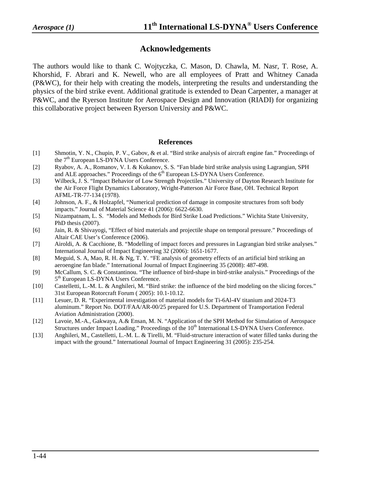#### **Acknowledgements**

The authors would like to thank C. Wojtyczka, C. Mason, D. Chawla, M. Nasr, T. Rose, A. Khorshid, F. Abrari and K. Newell, who are all employees of Pratt and Whitney Canada (P&WC), for their help with creating the models, interpreting the results and understanding the physics of the bird strike event. Additional gratitude is extended to Dean Carpenter, a manager at P&WC, and the Ryerson Institute for Aerospace Design and Innovation (RIADI) for organizing this collaborative project between Ryerson University and P&WC.

#### **References**

- [1] Shmotin, Y. N., Chupin, P. V., Gabov, & et al. "Bird strike analysis of aircraft engine fan." Proceedings of the  $7<sup>th</sup>$  European LS-DYNA Users Conference.
- [2] Ryabov, A. A., Romanov, V. I. & Kukanov, S. S. "Fan blade bird strike analysis using Lagrangian, SPH and ALE approaches." Proceedings of the 6<sup>th</sup> European LS-DYNA Users Conference.
- [3] Wilbeck, J. S. "Impact Behavior of Low Strength Projectiles." University of Dayton Research Institute for the Air Force Flight Dynamics Laboratory, Wright-Patterson Air Force Base, OH. Technical Report AFML-TR-77-134 (1978).
- [4] Johnson, A. F., & Holzapfel, "Numerical prediction of damage in composite structures from soft body impacts." Journal of Material Science 41 (2006): 6622-6630.
- [5] Nizampatnam, L. S. "Models and Methods for Bird Strike Load Predictions." Wichita State University, PhD thesis (2007).
- [6] Jain, R. & Shivayogi, "Effect of bird materials and projectile shape on temporal pressure." Proceedings of Altair CAE User's Conference (2006).
- [7] Airoldi, A. & Cacchione, B. "Modelling of impact forces and pressures in Lagrangian bird strike analyses." International Journal of Impact Engineering 32 (2006): 1651-1677.
- [8] Meguid, S. A, Mao, R. H. & Ng, T. Y. "FE analysis of geometry effects of an artificial bird striking an aeroengine fan blade." International Journal of Impact Engineering 35 (2008): 487-498.
- [9] McCallum, S. C. & Constantinou. "The influence of bird-shape in bird-strike analysis." Proceedings of the 5<sup>th</sup> European LS-DYNA Users Conference.
- [10] Castelletti, L.-M. L. & Anghileri, M. "Bird strike: the influence of the bird modeling on the slicing forces." 31st European Rotorcraft Forum ( 2005): 10.1-10.12.
- [11] Lesuer, D. R. "Experimental investigation of material models for Ti-6Al-4V titanium and 2024-T3 aluminum." Report No. DOT/FAA/AR-00/25 prepared for U.S. Department of Transportation Federal Aviation Administration (2000).
- [12] Lavoie, M.-A., Gakwaya, A.& Ensan, M. N. "Application of the SPH Method for Simulation of Aerospace Structures under Impact Loading." Proceedings of the 10<sup>th</sup> International LS-DYNA Users Conference.
- [13] Anghileri, M., Castelletti, L.-M. L. & Tirelli, M. "Fluid-structure interaction of water filled tanks during the impact with the ground." International Journal of Impact Engineering 31 (2005): 235-254.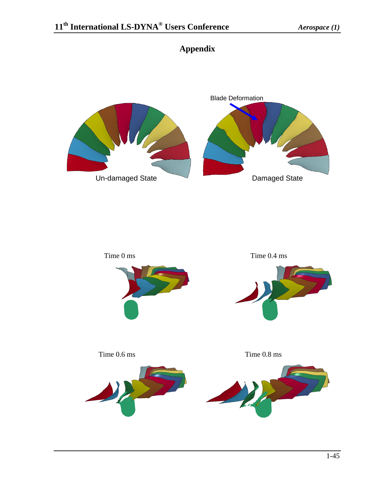

# **Appendix**